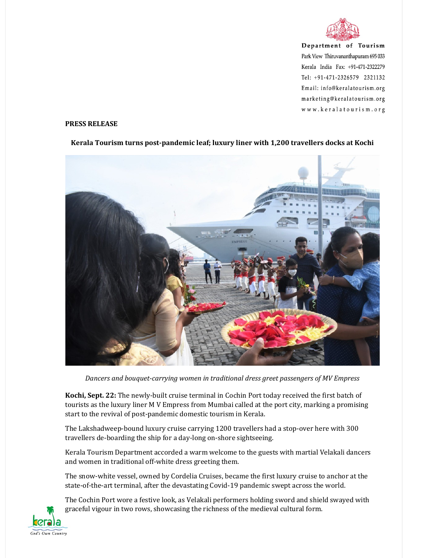

Department of Tourism Park View Thiruvananthapuram 695 033 Kerala India Fax: +91-471-2322279 Tel: +91-471-2326579 2321132 Email: info@keralatourism.org marketing@keralatourism.org www.keralatourism.org

## PRESS RELEASE



## Kerala Tourism turns post-pandemic leaf; luxury liner with 1,200 travellers docks at Kochi

Dancers and bouquet-carrying women in traditional dress greet passengers of MV Empress

Kochi, Sept. 22: The newly-built cruise terminal in Cochin Port today received the first batch of tourists as the luxury liner M V Empress from Mumbai called at the port city, marking a promising start to the revival of post-pandemic domestic tourism in Kerala.

The Lakshadweep-bound luxury cruise carrying 1200 travellers had a stop-over here with 300 travellers de-boarding the ship for a day-long on-shore sightseeing.

Kerala Tourism Department accorded a warm welcome to the guests with martial Velakali dancers and women in traditional off-white dress greeting them.

The snow-white vessel, owned by Cordelia Cruises, became the first luxury cruise to anchor at the state-of-the-art terminal, after the devastating Covid-19 pandemic swept across the world.

The Cochin Port wore a festive look, as Velakali performers holding sword and shield swayed with graceful vigour in two rows, showcasing the richness of the medieval cultural form.